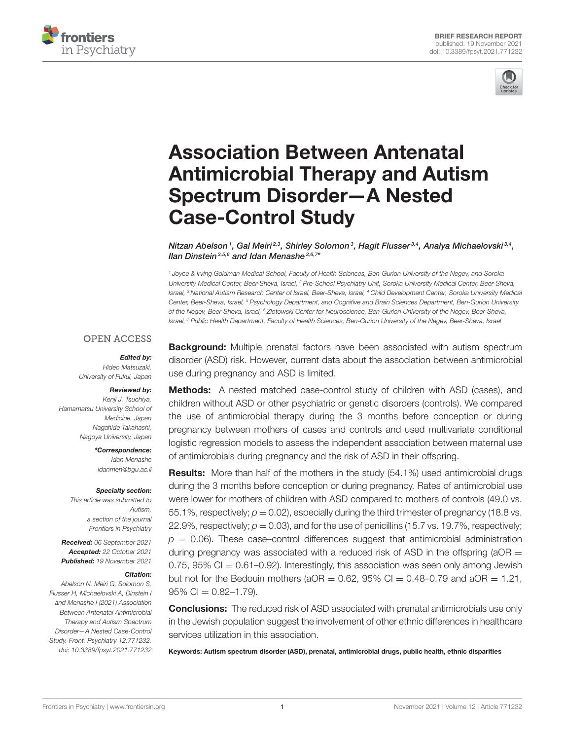



# Association Between Antenatal [Antimicrobial Therapy and Autism](https://www.frontiersin.org/articles/10.3389/fpsyt.2021.771232/full) Spectrum Disorder—A Nested Case-Control Study

Nitzan Abelson1, Gal Meiri $^{2,3}$ , Shirley Solomon $^3$ , Hagit Flusser $^{3,4}$ , Analya Michaelovski $^{3,4}$ , llan Dinstein<sup>3,5,6</sup> and Idan Menashe<sup>3,6,7</sup>\*

*<sup>1</sup> Joyce & Irving Goldman Medical School, Faculty of Health Sciences, Ben-Gurion University of the Negev, and Soroka University Medical Center, Beer-Sheva, Israel, <sup>2</sup> Pre-School Psychiatry Unit, Soroka University Medical Center, Beer-Sheva, Israel, <sup>3</sup> National Autism Research Center of Israel, Beer-Sheva, Israel, <sup>4</sup> Child Development Center, Soroka University Medical Center, Beer-Sheva, Israel, <sup>5</sup> Psychology Department, and Cognitive and Brain Sciences Department, Ben-Gurion University of the Negev, Beer-Sheva, Israel, <sup>6</sup> Zlotowski Center for Neuroscience, Ben-Gurion University of the Negev, Beer-Sheva, Israel, <sup>7</sup> Public Health Department, Faculty of Health Sciences, Ben-Gurion University of the Negev, Beer-Sheva, Israel*

#### **OPEN ACCESS**

#### Edited by:

*Hideo Matsuzaki, University of Fukui, Japan*

#### Reviewed by:

*Kenji J. Tsuchiya, Hamamatsu University School of Medicine, Japan Nagahide Takahashi, Nagoya University, Japan*

> \*Correspondence: *Idan Menashe [idanmen@bgu.ac.il](mailto:idanmen@bgu.ac.il)*

#### Specialty section:

*This article was submitted to Autism, a section of the journal Frontiers in Psychiatry*

Received: *06 September 2021* Accepted: *22 October 2021* Published: *19 November 2021*

#### Citation:

*Abelson N, Meiri G, Solomon S, Flusser H, Michaelovski A, Dinstein I and Menashe I (2021) Association Between Antenatal Antimicrobial Therapy and Autism Spectrum Disorder—A Nested Case-Control Study. Front. Psychiatry 12:771232. doi: [10.3389/fpsyt.2021.771232](https://doi.org/10.3389/fpsyt.2021.771232)* **Background:** Multiple prenatal factors have been associated with autism spectrum disorder (ASD) risk. However, current data about the association between antimicrobial use during pregnancy and ASD is limited.

Methods: A nested matched case-control study of children with ASD (cases), and children without ASD or other psychiatric or genetic disorders (controls). We compared the use of antimicrobial therapy during the 3 months before conception or during pregnancy between mothers of cases and controls and used multivariate conditional logistic regression models to assess the independent association between maternal use of antimicrobials during pregnancy and the risk of ASD in their offspring.

Results: More than half of the mothers in the study (54.1%) used antimicrobial drugs during the 3 months before conception or during pregnancy. Rates of antimicrobial use were lower for mothers of children with ASD compared to mothers of controls (49.0 vs. 55.1%, respectively;  $p = 0.02$ ), especially during the third trimester of pregnancy (18.8 vs. 22.9%, respectively;  $p = 0.03$ ), and for the use of penicillins (15.7 vs. 19.7%, respectively;  $p = 0.06$ ). These case–control differences suggest that antimicrobial administration during pregnancy was associated with a reduced risk of ASD in the offspring ( $aOR =$ 0.75,  $95\%$  CI = 0.61–0.92). Interestingly, this association was seen only among Jewish but not for the Bedouin mothers ( $aOR = 0.62$ ,  $95\%$  Cl = 0.48-0.79 and  $aOR = 1.21$ ,  $95\%$  CI = 0.82-1.79).

**Conclusions:** The reduced risk of ASD associated with prenatal antimicrobials use only in the Jewish population suggest the involvement of other ethnic differences in healthcare services utilization in this association.

Keywords: Autism spectrum disorder (ASD), prenatal, antimicrobial drugs, public health, ethnic disparities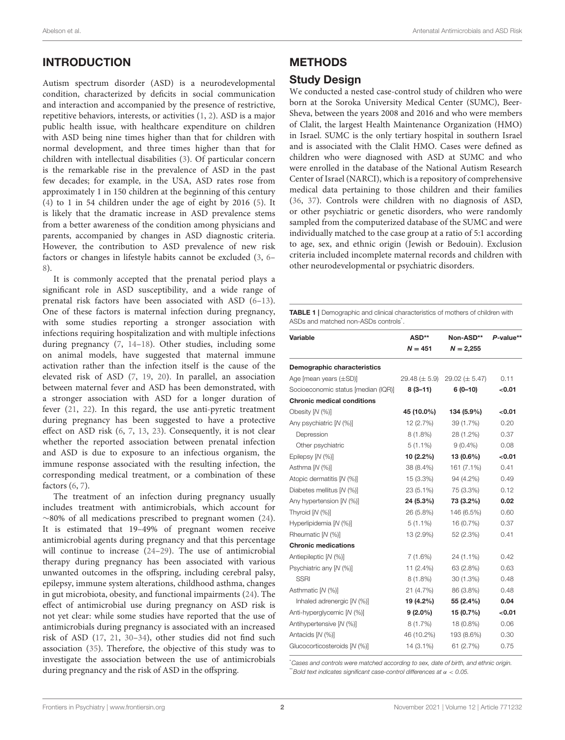# INTRODUCTION

Autism spectrum disorder (ASD) is a neurodevelopmental condition, characterized by deficits in social communication and interaction and accompanied by the presence of restrictive, repetitive behaviors, interests, or activities [\(1,](#page-5-0) [2\)](#page-5-1). ASD is a major public health issue, with healthcare expenditure on children with ASD being nine times higher than that for children with normal development, and three times higher than that for children with intellectual disabilities [\(3\)](#page-5-2). Of particular concern is the remarkable rise in the prevalence of ASD in the past few decades; for example, in the USA, ASD rates rose from approximately 1 in 150 children at the beginning of this century [\(4\)](#page-5-3) to 1 in 54 children under the age of eight by 2016 [\(5\)](#page-6-0). It is likely that the dramatic increase in ASD prevalence stems from a better awareness of the condition among physicians and parents, accompanied by changes in ASD diagnostic criteria. However, the contribution to ASD prevalence of new risk factors or changes in lifestyle habits cannot be excluded [\(3,](#page-5-2) [6–](#page-6-1) [8\)](#page-6-2).

It is commonly accepted that the prenatal period plays a significant role in ASD susceptibility, and a wide range of prenatal risk factors have been associated with ASD [\(6–](#page-6-1)[13\)](#page-6-3). One of these factors is maternal infection during pregnancy, with some studies reporting a stronger association with infections requiring hospitalization and with multiple infections during pregnancy [\(7,](#page-6-4) [14–](#page-6-5)[18\)](#page-6-6). Other studies, including some on animal models, have suggested that maternal immune activation rather than the infection itself is the cause of the elevated risk of ASD [\(7,](#page-6-4) [19,](#page-6-7) [20\)](#page-6-8). In parallel, an association between maternal fever and ASD has been demonstrated, with a stronger association with ASD for a longer duration of fever [\(21,](#page-6-9) [22\)](#page-6-10). In this regard, the use anti-pyretic treatment during pregnancy has been suggested to have a protective effect on ASD risk [\(6,](#page-6-1) [7,](#page-6-4) [13,](#page-6-3) [23\)](#page-6-11). Consequently, it is not clear whether the reported association between prenatal infection and ASD is due to exposure to an infectious organism, the immune response associated with the resulting infection, the corresponding medical treatment, or a combination of these factors [\(6,](#page-6-1) [7\)](#page-6-4).

The treatment of an infection during pregnancy usually includes treatment with antimicrobials, which account for ∼80% of all medications prescribed to pregnant women [\(24\)](#page-6-12). It is estimated that 19–49% of pregnant women receive antimicrobial agents during pregnancy and that this percentage will continue to increase [\(24–](#page-6-12)[29\)](#page-6-13). The use of antimicrobial therapy during pregnancy has been associated with various unwanted outcomes in the offspring, including cerebral palsy, epilepsy, immune system alterations, childhood asthma, changes in gut microbiota, obesity, and functional impairments [\(24\)](#page-6-12). The effect of antimicrobial use during pregnancy on ASD risk is not yet clear: while some studies have reported that the use of antimicrobials during pregnancy is associated with an increased risk of ASD [\(17,](#page-6-14) [21,](#page-6-9) [30](#page-6-15)[–34\)](#page-6-16), other studies did not find such association [\(35\)](#page-6-17). Therefore, the objective of this study was to investigate the association between the use of antimicrobials during pregnancy and the risk of ASD in the offspring.

# METHODS

## Study Design

We conducted a nested case-control study of children who were born at the Soroka University Medical Center (SUMC), Beer-Sheva, between the years 2008 and 2016 and who were members of Clalit, the largest Health Maintenance Organization (HMO) in Israel. SUMC is the only tertiary hospital in southern Israel and is associated with the Clalit HMO. Cases were defined as children who were diagnosed with ASD at SUMC and who were enrolled in the database of the National Autism Research Center of Israel (NARCI), which is a repository of comprehensive medical data pertaining to those children and their families [\(36,](#page-6-18) [37\)](#page-6-19). Controls were children with no diagnosis of ASD, or other psychiatric or genetic disorders, who were randomly sampled from the computerized database of the SUMC and were individually matched to the case group at a ratio of 5:1 according to age, sex, and ethnic origin (Jewish or Bedouin). Exclusion criteria included incomplete maternal records and children with other neurodevelopmental or psychiatric disorders.

<span id="page-1-0"></span>TABLE 1 | Demographic and clinical characteristics of mothers of children with ASDs and matched non-ASDs controls<sup>\*</sup>.

| Variable                            | ASD**               | Non-ASD**          | P-value** |
|-------------------------------------|---------------------|--------------------|-----------|
|                                     | $N = 451$           | $N = 2,255$        |           |
| <b>Demographic characteristics</b>  |                     |                    |           |
| Age [mean years $(\pm SD)$ ]        | $29.48 \ (\pm 5.9)$ | $29.02 (\pm 5.47)$ | 0.11      |
| Socioeconomic status [median (IQR)] | $8(3-11)$           | $6(0-10)$          | < 0.01    |
| <b>Chronic medical conditions</b>   |                     |                    |           |
| Obesity [N (%)]                     | 45 (10.0%)          | 134 (5.9%)         | < 0.01    |
| Any psychiatric [N (%)]             | 12 (2.7%)           | 39 (1.7%)          | 0.20      |
| Depression                          | $8(1.8\%)$          | 28 (1.2%)          | 0.37      |
| Other psychiatric                   | $5(1.1\%)$          | $9(0.4\%)$         | 0.08      |
| Epilepsy [N (%)]                    | 10 (2.2%)           | 13 (0.6%)          | < 0.01    |
| Asthma [N (%)]                      | 38 (8.4%)           | 161 (7.1%)         | 0.41      |
| Atopic dermatitis [N (%)]           | $15(3.3\%)$         | 94 (4.2%)          | 0.49      |
| Diabetes mellitus [N (%)]           | 23 (5.1%)           | 75 (3.3%)          | 0.12      |
| Any hypertension [N (%)]            | 24 (5.3%)           | 73 (3.2%)          | 0.02      |
| Thyroid [N (%)]                     | 26 (5.8%)           | 146 (6.5%)         | 0.60      |
| Hyperlipidemia [N (%)]              | $5(1.1\%)$          | 16 (0.7%)          | 0.37      |
| Rheumatic [N (%)]                   | 13 (2.9%)           | 52 (2.3%)          | 0.41      |
| <b>Chronic medications</b>          |                     |                    |           |
| Antiepileptic [N (%)]               | $7(1.6\%)$          | 24 (1.1%)          | 0.42      |
| Psychiatric any [N (%)]             | 11 $(2.4\%)$        | 63 (2.8%)          | 0.63      |
| <b>SSRI</b>                         | $8(1.8\%)$          | $30(1.3\%)$        | 0.48      |
| Asthmatic [N (%)]                   | 21 (4.7%)           | 86 (3.8%)          | 0.48      |
| Inhaled adrenergic [N (%)]          | 19 (4.2%)           | 55 (2.4%)          | 0.04      |
| Anti-hyperglycemic [N (%)]          | $9(2.0\%)$          | 15 (0.7%)          | < 0.01    |
| Antihypertensive [N (%)]            | 8 (1.7%)            | 18 (0.8%)          | 0.06      |
| Antacids [N (%)]                    | 46 (10.2%)          | 193 (8.6%)         | 0.30      |
| Glucocorticosteroids [N (%)]        | 14 (3.1%)           | 61 (2.7%)          | 0.75      |

\**Cases and controls were matched according to sex, date of birth, and ethnic origin.* \*\**Bold text indicates significant case-control differences at* α < *0.05.*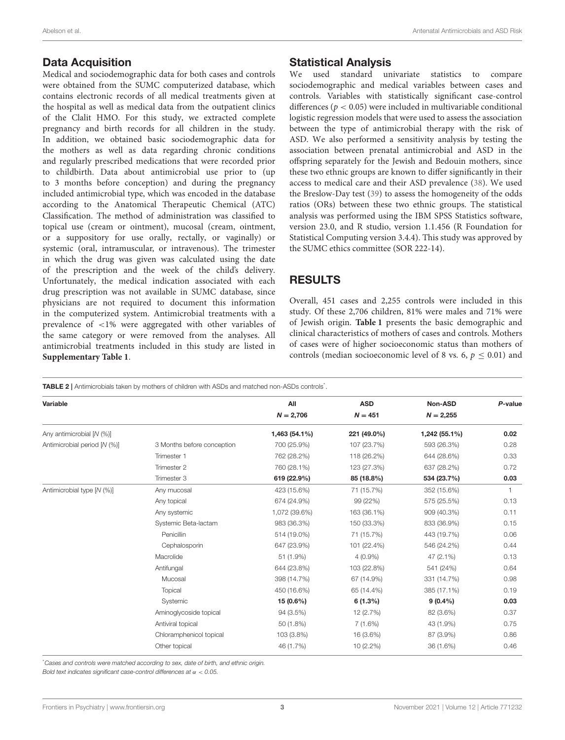#### Data Acquisition

Medical and sociodemographic data for both cases and controls were obtained from the SUMC computerized database, which contains electronic records of all medical treatments given at the hospital as well as medical data from the outpatient clinics of the Clalit HMO. For this study, we extracted complete pregnancy and birth records for all children in the study. In addition, we obtained basic sociodemographic data for the mothers as well as data regarding chronic conditions and regularly prescribed medications that were recorded prior to childbirth. Data about antimicrobial use prior to (up to 3 months before conception) and during the pregnancy included antimicrobial type, which was encoded in the database according to the Anatomical Therapeutic Chemical (ATC) Classification. The method of administration was classified to topical use (cream or ointment), mucosal (cream, ointment, or a suppository for use orally, rectally, or vaginally) or systemic (oral, intramuscular, or intravenous). The trimester in which the drug was given was calculated using the date of the prescription and the week of the child's delivery. Unfortunately, the medical indication associated with each drug prescription was not available in SUMC database, since physicians are not required to document this information in the computerized system. Antimicrobial treatments with a prevalence of <1% were aggregated with other variables of the same category or were removed from the analyses. All antimicrobial treatments included in this study are listed in **[Supplementary Table 1](#page-5-4)**.

# Statistical Analysis

We used standard univariate statistics to compare sociodemographic and medical variables between cases and controls. Variables with statistically significant case-control differences ( $p < 0.05$ ) were included in multivariable conditional logistic regression models that were used to assess the association between the type of antimicrobial therapy with the risk of ASD. We also performed a sensitivity analysis by testing the association between prenatal antimicrobial and ASD in the offspring separately for the Jewish and Bedouin mothers, since these two ethnic groups are known to differ significantly in their access to medical care and their ASD prevalence [\(38\)](#page-6-20). We used the Breslow-Day test [\(39\)](#page-6-21) to assess the homogeneity of the odds ratios (ORs) between these two ethnic groups. The statistical analysis was performed using the IBM SPSS Statistics software, version 23.0, and R studio, version 1.1.456 (R Foundation for Statistical Computing version 3.4.4). This study was approved by the SUMC ethics committee (SOR 222-14).

# RESULTS

Overall, 451 cases and 2,255 controls were included in this study. Of these 2,706 children, 81% were males and 71% were of Jewish origin. **[Table 1](#page-1-0)** presents the basic demographic and clinical characteristics of mothers of cases and controls. Mothers of cases were of higher socioeconomic status than mothers of controls (median socioeconomic level of 8 vs. 6,  $p \leq 0.01$ ) and

<span id="page-2-0"></span>TABLE 2 | Antimicrobials taken by mothers of children with ASDs and matched non-ASDs controls\*.

| Variable                     |                            | All           | <b>ASD</b>  | Non-ASD       | P-value      |
|------------------------------|----------------------------|---------------|-------------|---------------|--------------|
|                              |                            | $N = 2,706$   | $N = 451$   | $N = 2,255$   |              |
| Any antimicrobial [N (%)]    |                            | 1,463 (54.1%) | 221 (49.0%) | 1,242 (55.1%) | 0.02         |
| Antimicrobial period [N (%)] | 3 Months before conception | 700 (25.9%)   | 107 (23.7%) | 593 (26.3%)   | 0.28         |
|                              | Trimester 1                | 762 (28.2%)   | 118 (26.2%) | 644 (28.6%)   | 0.33         |
|                              | Trimester 2                | 760 (28.1%)   | 123 (27.3%) | 637 (28.2%)   | 0.72         |
|                              | Trimester 3                | 619 (22.9%)   | 85 (18.8%)  | 534 (23.7%)   | 0.03         |
| Antimicrobial type [N (%)]   | Any mucosal                | 423 (15.6%)   | 71 (15.7%)  | 352 (15.6%)   | $\mathbf{1}$ |
|                              | Any topical                | 674 (24.9%)   | 99 (22%)    | 575 (25.5%)   | 0.13         |
|                              | Any systemic               | 1,072 (39.6%) | 163 (36.1%) | 909 (40.3%)   | 0.11         |
|                              | Systemic Beta-lactam       | 983 (36.3%)   | 150 (33.3%) | 833 (36.9%)   | 0.15         |
|                              | Penicillin                 | 514 (19.0%)   | 71 (15.7%)  | 443 (19.7%)   | 0.06         |
|                              | Cephalosporin              | 647 (23.9%)   | 101 (22.4%) | 546 (24.2%)   | 0.44         |
|                              | Macrolide                  | 51 (1.9%)     | $4(0.9\%)$  | 47 (2.1%)     | 0.13         |
|                              | Antifungal                 | 644 (23.8%)   | 103 (22.8%) | 541 (24%)     | 0.64         |
|                              | Mucosal                    | 398 (14.7%)   | 67 (14.9%)  | 331 (14.7%)   | 0.98         |
|                              | Topical                    | 450 (16.6%)   | 65 (14.4%)  | 385 (17.1%)   | 0.19         |
|                              | Systemic                   | 15 (0.6%)     | 6(1.3%)     | $9(0.4\%)$    | 0.03         |
|                              | Aminoglycoside topical     | 94 (3.5%)     | 12 (2.7%)   | 82 (3.6%)     | 0.37         |
|                              | Antiviral topical          | 50 (1.8%)     | 7(1.6%)     | 43 (1.9%)     | 0.75         |
|                              | Chloramphenicol topical    | 103 (3.8%)    | 16 (3.6%)   | 87 (3.9%)     | 0.86         |
|                              | Other topical              | 46 (1.7%)     | $10(2.2\%)$ | 36 (1.6%)     | 0.46         |
|                              |                            |               |             |               |              |

\**Cases and controls were matched according to sex, date of birth, and ethnic origin.*

*Bold text indicates significant case-control differences at* α < *0.05.*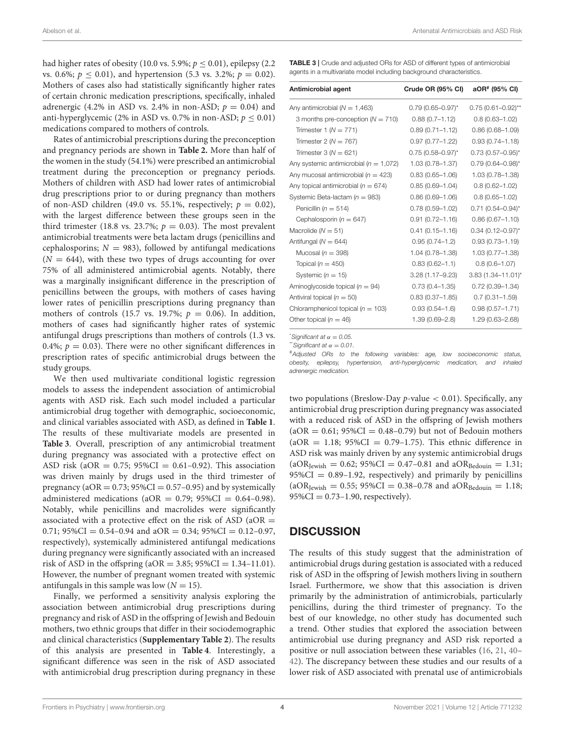had higher rates of obesity (10.0 vs. 5.9%;  $p \leq 0.01$ ), epilepsy (2.2) vs. 0.6%;  $p < 0.01$ ), and hypertension (5.3 vs. 3.2%;  $p = 0.02$ ). Mothers of cases also had statistically significantly higher rates of certain chronic medication prescriptions, specifically, inhaled adrenergic (4.2% in ASD vs. 2.4% in non-ASD;  $p = 0.04$ ) and anti-hyperglycemic (2% in ASD vs. 0.7% in non-ASD;  $p < 0.01$ ) medications compared to mothers of controls.

Rates of antimicrobial prescriptions during the preconception and pregnancy periods are shown in **[Table 2.](#page-2-0)** More than half of the women in the study (54.1%) were prescribed an antimicrobial treatment during the preconception or pregnancy periods. Mothers of children with ASD had lower rates of antimicrobial drug prescriptions prior to or during pregnancy than mothers of non-ASD children (49.0 vs. 55.1%, respectively;  $p = 0.02$ ), with the largest difference between these groups seen in the third trimester (18.8 vs. 23.7%;  $p = 0.03$ ). The most prevalent antimicrobial treatments were beta lactam drugs (penicillins and cephalosporins;  $N = 983$ ), followed by antifungal medications  $(N = 644)$ , with these two types of drugs accounting for over 75% of all administered antimicrobial agents. Notably, there was a marginally insignificant difference in the prescription of penicillins between the groups, with mothers of cases having lower rates of penicillin prescriptions during pregnancy than mothers of controls (15.7 vs. 19.7%;  $p = 0.06$ ). In addition, mothers of cases had significantly higher rates of systemic antifungal drugs prescriptions than mothers of controls (1.3 vs. 0.4%;  $p = 0.03$ ). There were no other significant differences in prescription rates of specific antimicrobial drugs between the study groups.

We then used multivariate conditional logistic regression models to assess the independent association of antimicrobial agents with ASD risk. Each such model included a particular antimicrobial drug together with demographic, socioeconomic, and clinical variables associated with ASD, as defined in **[Table 1](#page-1-0)**. The results of these multivariate models are presented in **[Table 3](#page-3-0)**. Overall, prescription of any antimicrobial treatment during pregnancy was associated with a protective effect on ASD risk ( $aOR = 0.75$ ;  $95\%CI = 0.61 - 0.92$ ). This association was driven mainly by drugs used in the third trimester of pregnancy ( $aOR = 0.73$ ;  $95\%CI = 0.57 - 0.95$ ) and by systemically administered medications (aOR =  $0.79$ ;  $95\%CI = 0.64-0.98$ ). Notably, while penicillins and macrolides were significantly associated with a protective effect on the risk of ASD ( $aOR =$ 0.71;  $95\%CI = 0.54 - 0.94$  and  $aOR = 0.34$ ;  $95\%CI = 0.12 - 0.97$ , respectively), systemically administered antifungal medications during pregnancy were significantly associated with an increased risk of ASD in the offspring (aOR =  $3.85$ ; 95%CI =  $1.34-11.01$ ). However, the number of pregnant women treated with systemic antifungals in this sample was low  $(N = 15)$ .

Finally, we performed a sensitivity analysis exploring the association between antimicrobial drug prescriptions during pregnancy and risk of ASD in the offspring of Jewish and Bedouin mothers, two ethnic groups that differ in their sociodemographic and clinical characteristics (**[Supplementary Table 2](#page-5-4)**). The results of this analysis are presented in **[Table 4](#page-4-0)**. Interestingly, a significant difference was seen in the risk of ASD associated with antimicrobial drug prescription during pregnancy in these <span id="page-3-0"></span>TABLE 3 | Crude and adjusted ORs for ASD of different types of antimicrobial agents in a multivariate model including background characteristics.

| Antimicrobial agent                        | Crude OR (95% CI)       | aOR <sup>#</sup> (95% CI) |
|--------------------------------------------|-------------------------|---------------------------|
| Any antimicrobial ( $N = 1,463$ )          | $0.79(0.65 - 0.97)^{*}$ | $0.75(0.61 - 0.92)$ **    |
| 3 months pre-conception ( $N = 710$ )      | $0.88(0.7 - 1.12)$      | $0.8(0.63 - 1.02)$        |
| Trimester 1 ( $N = 771$ )                  | $0.89(0.71 - 1.12)$     | $0.86(0.68 - 1.09)$       |
| Trimester 2 ( $N = 767$ )                  | $0.97(0.77 - 1.22)$     | $0.93(0.74 - 1.18)$       |
| Trimester $3(N = 621)$                     | $0.75(0.58 - 0.97)^{*}$ | $0.73(0.57 - 0.95)^{*}$   |
| Any systemic antimicrobial ( $n = 1,072$ ) | $1.03(0.78 - 1.37)$     | $0.79(0.64 - 0.98)^{*}$   |
| Any mucosal antimicrobial ( $n = 423$ )    | $0.83(0.65 - 1.06)$     | 1.03 (0.78-1.38)          |
| Any topical antimicrobial ( $n = 674$ )    | $0.85(0.69 - 1.04)$     | $0.8(0.62 - 1.02)$        |
| Systemic Beta-lactam ( $n = 983$ )         | $0.86(0.69 - 1.06)$     | $0.8(0.65 - 1.02)$        |
| Penicillin ( $n = 514$ )                   | $0.78(0.59 - 1.02)$     | $0.71$ (0.54-0.94)*       |
| Cephalosporin ( $n = 647$ )                | $0.91(0.72 - 1.16)$     | $0.86(0.67 - 1.10)$       |
| Macrolide ( $N = 51$ )                     | $0.41(0.15 - 1.16)$     | $0.34$ (0.12-0.97)*       |
| Antifungal ( $N = 644$ )                   | $0.95(0.74 - 1.2)$      | $0.93(0.73 - 1.19)$       |
| Mucosal ( $n = 398$ )                      | 1.04 (0.78-1.38)        | $1.03(0.77 - 1.38)$       |
| Topical ( $n = 450$ )                      | $0.83(0.62 - 1.1)$      | $0.8(0.6 - 1.07)$         |
| Systemic ( $n = 15$ )                      | $3.28(1.17 - 9.23)$     | $3.83(1.34 - 11.01)^{*}$  |
| Aminoglycoside topical ( $n = 94$ )        | $0.73(0.4 - 1.35)$      | $0.72(0.39 - 1.34)$       |
| Antiviral topical ( $n = 50$ )             | $0.83(0.37 - 1.85)$     | $0.7(0.31 - 1.59)$        |
| Chloramphenicol topical ( $n = 103$ )      | $0.93(0.54 - 1.6)$      | $0.98(0.57 - 1.71)$       |
| Other topical ( $n = 46$ )                 | $1.39(0.69 - 2.8)$      | 1.29 (0.63-2.68)          |

 $*$ *Significant at*  $\alpha = 0.05$ .

 $*$ *Significant at*  $\alpha = 0.01$ .

#*Adjusted ORs to the following variables: age, low socioeconomic status, obesity, epilepsy, hypertension, anti-hyperglycemic medication, and inhaled adrenergic medication.*

two populations (Breslow-Day  $p$ -value  $< 0.01$ ). Specifically, any antimicrobial drug prescription during pregnancy was associated with a reduced risk of ASD in the offspring of Jewish mothers  $(aOR = 0.61; 95\%CI = 0.48-0.79)$  but not of Bedouin mothers  $(aOR = 1.18; 95\% CI = 0.79-1.75)$ . This ethnic difference in ASD risk was mainly driven by any systemic antimicrobial drugs  $(aOR_{\text{Jewish}} = 0.62; 95\% \text{CI} = 0.47 - 0.81 \text{ and } aOR_{\text{Bedoun}} = 1.31;$  $95\%CI = 0.89 - 1.92$ , respectively) and primarily by penicillins  $(aOR_{Jewish} = 0.55; 95\% CI = 0.38 - 0.78 \text{ and } aOR_{Bedouin} = 1.18;$  $95\%CI = 0.73 - 1.90$ , respectively).

## **DISCUSSION**

The results of this study suggest that the administration of antimicrobial drugs during gestation is associated with a reduced risk of ASD in the offspring of Jewish mothers living in southern Israel. Furthermore, we show that this association is driven primarily by the administration of antimicrobials, particularly penicillins, during the third trimester of pregnancy. To the best of our knowledge, no other study has documented such a trend. Other studies that explored the association between antimicrobial use during pregnancy and ASD risk reported a positive or null association between these variables [\(16,](#page-6-22) [21,](#page-6-9) [40–](#page-6-23) [42\)](#page-6-24). The discrepancy between these studies and our results of a lower risk of ASD associated with prenatal use of antimicrobials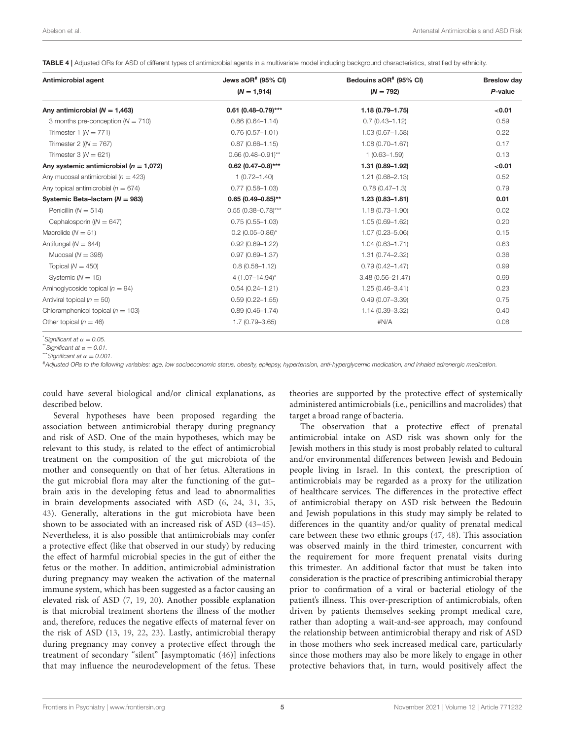<span id="page-4-0"></span>TABLE 4 | Adjusted ORs for ASD of different types of antimicrobial agents in a multivariate model including background characteristics, stratified by ethnicity.

| Antimicrobial agent                        | Jews $aOR^*$ (95% CI)  | Bedouins aOR <sup>#</sup> (95% CI) | <b>Breslow day</b> |
|--------------------------------------------|------------------------|------------------------------------|--------------------|
|                                            | $(N = 1,914)$          | $(N = 792)$                        | P-value            |
| Any antimicrobial ( $N = 1,463$ )          | $0.61$ (0.48-0.79)***  | $1.18(0.79 - 1.75)$                | < 0.01             |
| 3 months pre-conception $(N = 710)$        | $0.86(0.64 - 1.14)$    | $0.7(0.43 - 1.12)$                 | 0.59               |
| Trimester 1 ( $N = 771$ )                  | $0.76(0.57 - 1.01)$    | $1.03(0.67 - 1.58)$                | 0.22               |
| Trimester 2 ( $(N = 767)$ )                | $0.87(0.66 - 1.15)$    | $1.08(0.70 - 1.67)$                | 0.17               |
| Trimester $3(N = 621)$                     | $0.66(0.48 - 0.91)$ ** | $1(0.63 - 1.59)$                   | 0.13               |
| Any systemic antimicrobial ( $n = 1,072$ ) | $0.62$ (0.47-0.8)***   | 1.31 (0.89-1.92)                   | < 0.01             |
| Any mucosal antimicrobial ( $n = 423$ )    | $1(0.72 - 1.40)$       | $1.21(0.68 - 2.13)$                | 0.52               |
| Any topical antimicrobial ( $n = 674$ )    | $0.77(0.58 - 1.03)$    | $0.78(0.47 - 1.3)$                 | 0.79               |
| Systemic Beta-lactam ( $N = 983$ )         | $0.65(0.49 - 0.85)$ ** | $1.23(0.83 - 1.81)$                | 0.01               |
| Penicillin ( $N = 514$ )                   | $0.55$ (0.38-0.78)***  | $1.18(0.73 - 1.90)$                | 0.02               |
| Cephalosporin ( $(N = 647)$ )              | $0.75(0.55 - 1.03)$    | $1.05(0.69 - 1.62)$                | 0.20               |
| Macrolide ( $N = 51$ )                     | $0.2(0.05 - 0.86)^{*}$ | $1.07(0.23 - 5.06)$                | 0.15               |
| Antifungal ( $N = 644$ )                   | $0.92(0.69 - 1.22)$    | $1.04(0.63 - 1.71)$                | 0.63               |
| Mucosal ( $N = 398$ )                      | $0.97(0.69 - 1.37)$    | 1.31 (0.74-2.32)                   | 0.36               |
| Topical ( $N = 450$ )                      | $0.8(0.58 - 1.12)$     | $0.79(0.42 - 1.47)$                | 0.99               |
| Systemic ( $N = 15$ )                      | $4(1.07 - 14.94)^{*}$  | $3.48(0.56 - 21.47)$               | 0.99               |
| Aminoglycoside topical ( $n = 94$ )        | $0.54(0.24 - 1.21)$    | $1.25(0.46 - 3.41)$                | 0.23               |
| Antiviral topical ( $n = 50$ )             | $0.59(0.22 - 1.55)$    | $0.49(0.07 - 3.39)$                | 0.75               |
| Chloramphenicol topical ( $n = 103$ )      | $0.89(0.46 - 1.74)$    | 1.14 (0.39-3.32)                   | 0.40               |
| Other topical ( $n = 46$ )                 | $1.7(0.79 - 3.65)$     | #N/A                               | 0.08               |

 $*$ *Significant at*  $\alpha = 0.05$ .

 $*$ <sup>\*</sup>*Significant at*  $\alpha = 0.01$ *.* 

 $^*$ *Significant at*  $\alpha = 0.001$ .

#*Adjusted ORs to the following variables: age, low socioeconomic status, obesity, epilepsy, hypertension, anti-hyperglycemic medication, and inhaled adrenergic medication.*

could have several biological and/or clinical explanations, as described below.

Several hypotheses have been proposed regarding the association between antimicrobial therapy during pregnancy and risk of ASD. One of the main hypotheses, which may be relevant to this study, is related to the effect of antimicrobial treatment on the composition of the gut microbiota of the mother and consequently on that of her fetus. Alterations in the gut microbial flora may alter the functioning of the gut– brain axis in the developing fetus and lead to abnormalities in brain developments associated with ASD [\(6,](#page-6-1) [24,](#page-6-12) [31,](#page-6-25) [35,](#page-6-17) [43\)](#page-6-26). Generally, alterations in the gut microbiota have been shown to be associated with an increased risk of ASD [\(43–](#page-6-26)[45\)](#page-7-0). Nevertheless, it is also possible that antimicrobials may confer a protective effect (like that observed in our study) by reducing the effect of harmful microbial species in the gut of either the fetus or the mother. In addition, antimicrobial administration during pregnancy may weaken the activation of the maternal immune system, which has been suggested as a factor causing an elevated risk of ASD [\(7,](#page-6-4) [19,](#page-6-7) [20\)](#page-6-8). Another possible explanation is that microbial treatment shortens the illness of the mother and, therefore, reduces the negative effects of maternal fever on the risk of ASD [\(13,](#page-6-3) [19,](#page-6-7) [22,](#page-6-10) [23\)](#page-6-11). Lastly, antimicrobial therapy during pregnancy may convey a protective effect through the treatment of secondary "silent" [asymptomatic [\(46\)](#page-7-1)] infections that may influence the neurodevelopment of the fetus. These theories are supported by the protective effect of systemically administered antimicrobials (i.e., penicillins and macrolides) that target a broad range of bacteria.

The observation that a protective effect of prenatal antimicrobial intake on ASD risk was shown only for the Jewish mothers in this study is most probably related to cultural and/or environmental differences between Jewish and Bedouin people living in Israel. In this context, the prescription of antimicrobials may be regarded as a proxy for the utilization of healthcare services. The differences in the protective effect of antimicrobial therapy on ASD risk between the Bedouin and Jewish populations in this study may simply be related to differences in the quantity and/or quality of prenatal medical care between these two ethnic groups [\(47,](#page-7-2) [48\)](#page-7-3). This association was observed mainly in the third trimester, concurrent with the requirement for more frequent prenatal visits during this trimester. An additional factor that must be taken into consideration is the practice of prescribing antimicrobial therapy prior to confirmation of a viral or bacterial etiology of the patient's illness. This over-prescription of antimicrobials, often driven by patients themselves seeking prompt medical care, rather than adopting a wait-and-see approach, may confound the relationship between antimicrobial therapy and risk of ASD in those mothers who seek increased medical care, particularly since those mothers may also be more likely to engage in other protective behaviors that, in turn, would positively affect the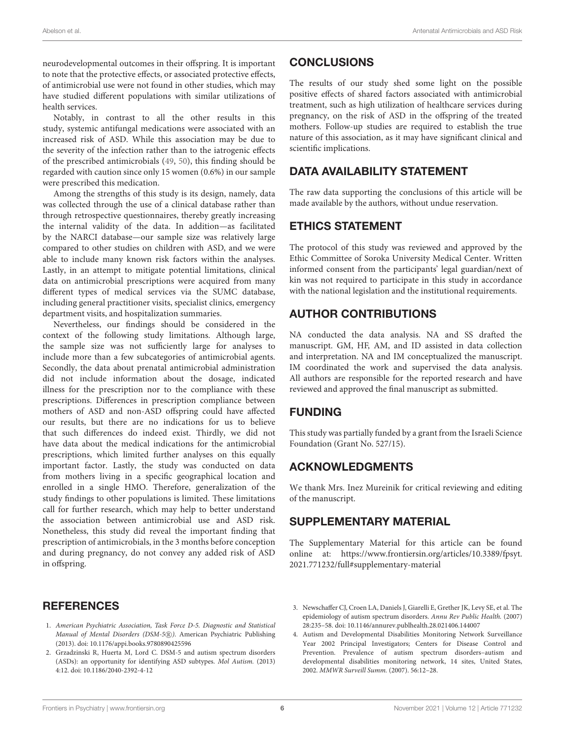neurodevelopmental outcomes in their offspring. It is important to note that the protective effects, or associated protective effects, of antimicrobial use were not found in other studies, which may have studied different populations with similar utilizations of health services.

Notably, in contrast to all the other results in this study, systemic antifungal medications were associated with an increased risk of ASD. While this association may be due to the severity of the infection rather than to the iatrogenic effects of the prescribed antimicrobials [\(49,](#page-7-4) [50\)](#page-7-5), this finding should be regarded with caution since only 15 women (0.6%) in our sample were prescribed this medication.

Among the strengths of this study is its design, namely, data was collected through the use of a clinical database rather than through retrospective questionnaires, thereby greatly increasing the internal validity of the data. In addition—as facilitated by the NARCI database—our sample size was relatively large compared to other studies on children with ASD, and we were able to include many known risk factors within the analyses. Lastly, in an attempt to mitigate potential limitations, clinical data on antimicrobial prescriptions were acquired from many different types of medical services via the SUMC database, including general practitioner visits, specialist clinics, emergency department visits, and hospitalization summaries.

Nevertheless, our findings should be considered in the context of the following study limitations. Although large, the sample size was not sufficiently large for analyses to include more than a few subcategories of antimicrobial agents. Secondly, the data about prenatal antimicrobial administration did not include information about the dosage, indicated illness for the prescription nor to the compliance with these prescriptions. Differences in prescription compliance between mothers of ASD and non-ASD offspring could have affected our results, but there are no indications for us to believe that such differences do indeed exist. Thirdly, we did not have data about the medical indications for the antimicrobial prescriptions, which limited further analyses on this equally important factor. Lastly, the study was conducted on data from mothers living in a specific geographical location and enrolled in a single HMO. Therefore, generalization of the study findings to other populations is limited. These limitations call for further research, which may help to better understand the association between antimicrobial use and ASD risk. Nonetheless, this study did reveal the important finding that prescription of antimicrobials, in the 3 months before conception and during pregnancy, do not convey any added risk of ASD in offspring.

## **REFERENCES**

- <span id="page-5-0"></span>1. American Psychiatric Association, Task Force D-5. Diagnostic and Statistical Manual of Mental Disorders (DSM-5®). American Psychiatric Publishing (2013). doi: [10.1176/appi.books.9780890425596](https://doi.org/10.1176/appi.books.9780890425596)
- <span id="page-5-1"></span>2. Grzadzinski R, Huerta M, Lord C. DSM-5 and autism spectrum disorders (ASDs): an opportunity for identifying ASD subtypes. Mol Autism. (2013) 4:12. doi: [10.1186/2040-2392-4-12](https://doi.org/10.1186/2040-2392-4-12)

# **CONCLUSIONS**

The results of our study shed some light on the possible positive effects of shared factors associated with antimicrobial treatment, such as high utilization of healthcare services during pregnancy, on the risk of ASD in the offspring of the treated mothers. Follow-up studies are required to establish the true nature of this association, as it may have significant clinical and scientific implications.

# DATA AVAILABILITY STATEMENT

The raw data supporting the conclusions of this article will be made available by the authors, without undue reservation.

# ETHICS STATEMENT

The protocol of this study was reviewed and approved by the Ethic Committee of Soroka University Medical Center. Written informed consent from the participants' legal guardian/next of kin was not required to participate in this study in accordance with the national legislation and the institutional requirements.

# AUTHOR CONTRIBUTIONS

NA conducted the data analysis. NA and SS drafted the manuscript. GM, HF, AM, and ID assisted in data collection and interpretation. NA and IM conceptualized the manuscript. IM coordinated the work and supervised the data analysis. All authors are responsible for the reported research and have reviewed and approved the final manuscript as submitted.

## FUNDING

This study was partially funded by a grant from the Israeli Science Foundation (Grant No. 527/15).

# ACKNOWLEDGMENTS

We thank Mrs. Inez Mureinik for critical reviewing and editing of the manuscript.

# SUPPLEMENTARY MATERIAL

<span id="page-5-4"></span>The Supplementary Material for this article can be found [online at: https://www.frontiersin.org/articles/10.3389/fpsyt.](https://www.frontiersin.org/articles/10.3389/fpsyt.2021.771232/full#supplementary-material) 2021.771232/full#supplementary-material

- <span id="page-5-2"></span>3. Newschaffer CJ, Croen LA, Daniels J, Giarelli E, Grether JK, Levy SE, et al. The epidemiology of autism spectrum disorders. Annu Rev Public Health. (2007) 28:235–58. doi: [10.1146/annurev.publhealth.28.021406.144007](https://doi.org/10.1146/annurev.publhealth.28.021406.144007)
- <span id="page-5-3"></span>4. Autism and Developmental Disabilities Monitoring Network Surveillance Year 2002 Principal Investigators; Centers for Disease Control and Prevention. Prevalence of autism spectrum disorders–autism and developmental disabilities monitoring network, 14 sites, United States, 2002. MMWR Surveill Summ. (2007). 56:12–28.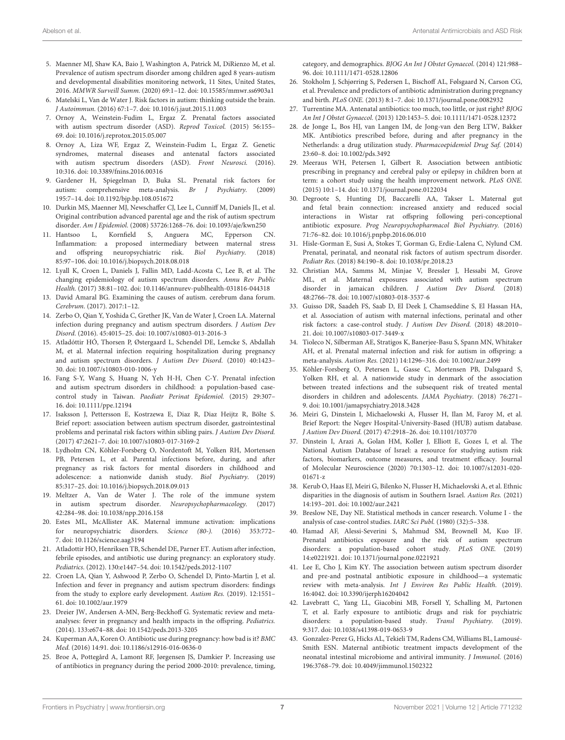- <span id="page-6-0"></span>5. Maenner MJ, Shaw KA, Baio J, Washington A, Patrick M, DiRienzo M, et al. Prevalence of autism spectrum disorder among children aged 8 years-autism and developmental disabilities monitoring network, 11 Sites, United States, 2016. MMWR Surveill Summ. (2020) 69:1–12. doi: [10.15585/mmwr.ss6903a1](https://doi.org/10.15585/mmwr.ss6903a1)
- <span id="page-6-1"></span>6. Matelski L, Van de Water J. Risk factors in autism: thinking outside the brain. J Autoimmun. (2016) 67:1–7. doi: [10.1016/j.jaut.2015.11.003](https://doi.org/10.1016/j.jaut.2015.11.003)
- <span id="page-6-4"></span>7. Ornoy A, Weinstein-Fudim L, Ergaz Z. Prenatal factors associated with autism spectrum disorder (ASD). Reprod Toxicol. (2015) 56:155– 69. doi: [10.1016/j.reprotox.2015.05.007](https://doi.org/10.1016/j.reprotox.2015.05.007)
- <span id="page-6-2"></span>8. Ornoy A, Liza WF, Ergaz Z, Weinstein-Fudim L, Ergaz Z. Genetic syndromes, maternal diseases and antenatal factors associated with autism spectrum disorders (ASD). Front Neurosci. (2016). 10:316. doi: [10.3389/fnins.2016.00316](https://doi.org/10.3389/fnins.2016.00316)
- 9. Gardener H, Spiegelman D, Buka SL. Prenatal risk factors for autism: comprehensive meta-analysis. Br J Psychiatry. (2009) 195:7–14. doi: [10.1192/bjp.bp.108.051672](https://doi.org/10.1192/bjp.bp.108.051672)
- 10. Durkin MS, Maenner MJ, Newschaffer CJ, Lee L, Cunniff M, Daniels JL, et al. Original contribution advanced parental age and the risk of autism spectrum disorder. Am J Epidemiol. (2008) 53726:1268–76. doi: [10.1093/aje/kwn250](https://doi.org/10.1093/aje/kwn250)
- 11. Hantsoo L, Kornfield S, Anguera MC, Epperson CN. Inflammation: a proposed intermediary between maternal stress and offspring neuropsychiatric risk. Biol Psychiatry. (2018) 85:97–106. doi: [10.1016/j.biopsych.2018.08.018](https://doi.org/10.1016/j.biopsych.2018.08.018)
- 12. Lyall K, Croen L, Daniels J, Fallin MD, Ladd-Acosta C, Lee B, et al. The changing epidemiology of autism spectrum disorders. Annu Rev Public Health. (2017) 38:81–102. doi: [10.1146/annurev-publhealth-031816-044318](https://doi.org/10.1146/annurev-publhealth-031816-044318)
- <span id="page-6-3"></span>13. David Amaral BG. Examining the causes of autism. cerebrum dana forum. Cerebrum. (2017). 2017:1–12.
- <span id="page-6-5"></span>14. Zerbo O, Qian Y, Yoshida C, Grether JK, Van de Water J, Croen LA. Maternal infection during pregnancy and autism spectrum disorders. J Autism Dev Disord. (2016). 45:4015–25. doi: [10.1007/s10803-013-2016-3](https://doi.org/10.1007/s10803-013-2016-3)
- 15. Atladóttir HÓ, Thorsen P, Østergaard L, Schendel DE, Lemcke S, Abdallah M, et al. Maternal infection requiring hospitalization during pregnancy and autism spectrum disorders. J Autism Dev Disord. (2010) 40:1423– 30. doi: [10.1007/s10803-010-1006-y](https://doi.org/10.1007/s10803-010-1006-y)
- <span id="page-6-22"></span>16. Fang S-Y, Wang S, Huang N, Yeh H-H, Chen C-Y. Prenatal infection and autism spectrum disorders in childhood: a population-based casecontrol study in Taiwan. Paediatr Perinat Epidemiol. (2015) 29:307– 16. doi: [10.1111/ppe.12194](https://doi.org/10.1111/ppe.12194)
- <span id="page-6-14"></span>17. Isaksson J, Pettersson E, Kostrzewa E, Diaz R, Diaz Heijtz R, Bölte S. Brief report: association between autism spectrum disorder, gastrointestinal problems and perinatal risk factors within sibling pairs. J Autism Dev Disord. (2017) 47:2621–7. doi: [10.1007/s10803-017-3169-2](https://doi.org/10.1007/s10803-017-3169-2)
- <span id="page-6-6"></span>18. Lydholm CN, Köhler-Forsberg O, Nordentoft M, Yolken RH, Mortensen PB, Petersen L, et al. Parental infections before, during, and after pregnancy as risk factors for mental disorders in childhood and adolescence: a nationwide danish study. Biol Psychiatry. (2019) 85:317–25. doi: [10.1016/j.biopsych.2018.09.013](https://doi.org/10.1016/j.biopsych.2018.09.013)
- <span id="page-6-7"></span>19. Meltzer A, Van de Water J. The role of the immune system in autism spectrum disorder. Neuropsychopharmacology. (2017) 42:284–98. doi: [10.1038/npp.2016.158](https://doi.org/10.1038/npp.2016.158)
- <span id="page-6-8"></span>20. Estes ML, McAllister AK. Maternal immune activation: implications for neuropsychiatric disorders. Science (80-). (2016) 353:772– 7. doi: [10.1126/science.aag3194](https://doi.org/10.1126/science.aag3194)
- <span id="page-6-9"></span>21. Atladottir HO, Henriksen TB, Schendel DE, Parner ET. Autism after infection, febrile episodes, and antibiotic use during pregnancy: an exploratory study. Pediatrics. (2012). 130:e1447–54. doi: [10.1542/peds.2012-1107](https://doi.org/10.1542/peds.2012-1107)
- <span id="page-6-10"></span>22. Croen LA, Qian Y, Ashwood P, Zerbo O, Schendel D, Pinto-Martin J, et al. Infection and fever in pregnancy and autism spectrum disorders: findings from the study to explore early development. Autism Res. (2019). 12:1551– 61. doi: [10.1002/aur.1979](https://doi.org/10.1002/aur.1979)
- <span id="page-6-11"></span>23. Dreier JW, Andersen A-MN, Berg-Beckhoff G. Systematic review and metaanalyses: fever in pregnancy and health impacts in the offspring. Pediatrics. (2014). 133:e674–88. doi: [10.1542/peds.2013-3205](https://doi.org/10.1542/peds.2013-3205)
- <span id="page-6-12"></span>24. Kuperman AA, Koren O. Antibiotic use during pregnancy: how bad isit? BMC Med. (2016) 14:91. doi: [10.1186/s12916-016-0636-0](https://doi.org/10.1186/s12916-016-0636-0)
- 25. Broe A, Pottegård A, Lamont RF, Jørgensen JS, Damkier P. Increasing use of antibiotics in pregnancy during the period 2000-2010: prevalence, timing,

category, and demographics. BJOG An Int J Obstet Gynaecol. (2014) 121:988– 96. doi: [10.1111/1471-0528.12806](https://doi.org/10.1111/1471-0528.12806)

- 26. Stokholm J, Schjørring S, Pedersen L, Bischoff AL, Følsgaard N, Carson CG, et al. Prevalence and predictors of antibiotic administration during pregnancy and birth. PLoS ONE. (2013) 8:1–7. doi: [10.1371/journal.pone.0082932](https://doi.org/10.1371/journal.pone.0082932)
- 27. Turrentine MA. Antenatal antibiotics: too much, too little, or just right? BJOG An Int J Obstet Gynaecol. (2013) 120:1453–5. doi: [10.1111/1471-0528.12372](https://doi.org/10.1111/1471-0528.12372)
- 28. de Jonge L, Bos HJ, van Langen IM, de Jong-van den Berg LTW, Bakker MK. Antibiotics prescribed before, during and after pregnancy in the Netherlands: a drug utilization study. Pharmacoepidemiol Drug Saf. (2014) 23:60–8. doi: [10.1002/pds.3492](https://doi.org/10.1002/pds.3492)
- <span id="page-6-13"></span>29. Meeraus WH, Petersen I, Gilbert R. Association between antibiotic prescribing in pregnancy and cerebral palsy or epilepsy in children born at term: a cohort study using the health improvement network. PLoS ONE. (2015) 10:1–14. doi: [10.1371/journal.pone.0122034](https://doi.org/10.1371/journal.pone.0122034)
- <span id="page-6-15"></span>30. Degroote S, Hunting DJ, Baccarelli AA, Takser L. Maternal gut and fetal brain connection: increased anxiety and reduced social interactions in Wistar rat offspring following peri-conceptional antibiotic exposure. Prog Neuropsychopharmacol Biol Psychiatry. (2016) 71:76–82. doi: [10.1016/j.pnpbp.2016.06.010](https://doi.org/10.1016/j.pnpbp.2016.06.010)
- <span id="page-6-25"></span>31. Hisle-Gorman E, Susi A, Stokes T, Gorman G, Erdie-Lalena C, Nylund CM. Prenatal, perinatal, and neonatal risk factors of autism spectrum disorder. Pediatr Res. (2018) 84:190–8. doi: [10.1038/pr.2018.23](https://doi.org/10.1038/pr.2018.23)
- 32. Christian MA, Samms M, Minjae V, Bressler J, Hessabi M, Grove ML, et al. Maternal exposures associated with autism spectrum disorder in jamaican children. J Autism Dev Disord. (2018) 48:2766–78. doi: [10.1007/s10803-018-3537-6](https://doi.org/10.1007/s10803-018-3537-6)
- 33. Guisso DR, Saadeh FS, Saab D, El Deek J, Chamseddine S, El Hassan HA, et al. Association of autism with maternal infections, perinatal and other risk factors: a case-control study. J Autism Dev Disord. (2018) 48:2010– 21. doi: [10.1007/s10803-017-3449-x](https://doi.org/10.1007/s10803-017-3449-x)
- <span id="page-6-16"></span>34. Tioleco N, Silberman AE, Stratigos K, Banerjee-Basu S, Spann MN, Whitaker AH, et al. Prenatal maternal infection and risk for autism in offspring: a meta-analysis. Autism Res. (2021) 14:1296–316. doi: [10.1002/aur.2499](https://doi.org/10.1002/aur.2499)
- <span id="page-6-17"></span>35. Köhler-Forsberg O, Petersen L, Gasse C, Mortensen PB, Dalsgaard S, Yolken RH, et al. A nationwide study in denmark of the association between treated infections and the subsequent risk of treated mental disorders in children and adolescents. JAMA Psychiatry. (2018) 76:271– 9. doi: [10.1001/jamapsychiatry.2018.3428](https://doi.org/10.1001/jamapsychiatry.2018.3428)
- <span id="page-6-18"></span>36. Meiri G, Dinstein I, Michaelowski A, Flusser H, Ilan M, Faroy M, et al. Brief Report: the Negev Hospital-University-Based (HUB) autism database. J Autism Dev Disord. (2017) 47:2918–26. doi: [10.1101/103770](https://doi.org/10.1101/103770)
- <span id="page-6-19"></span>37. Dinstein I, Arazi A, Golan HM, Koller J, Elliott E, Gozes I, et al. The National Autism Database of Israel: a resource for studying autism risk factors, biomarkers, outcome measures, and treatment efficacy. Journal [of Molecular Neuroscience \(2020\) 70:1303–12. doi: 10.1007/s12031-020-](https://doi.org/10.1007/s12031-020-01671-z) 01671-z
- <span id="page-6-20"></span>38. Kerub O, Haas EJ, Meiri G, Bilenko N, Flusser H, Michaelovski A, et al. Ethnic disparities in the diagnosis of autism in Southern Israel. Autism Res. (2021) 14:193–201. doi: [10.1002/aur.2421](https://doi.org/10.1002/aur.2421)
- <span id="page-6-21"></span>39. Breslow NE, Day NE. Statistical methods in cancer research. Volume I - the analysis of case-control studies. IARC Sci Publ. (1980) (32):5–338.
- <span id="page-6-23"></span>40. Hamad AF, Alessi-Severini S, Mahmud SM, Brownell M, Kuo IF. Prenatal antibiotics exposure and the risk of autism spectrum disorders: a population-based cohort study. PLoS ONE. (2019) 14:e0221921. doi: [10.1371/journal.pone.0221921](https://doi.org/10.1371/journal.pone.0221921)
- 41. Lee E, Cho J, Kim KY. The association between autism spectrum disorder and pre-and postnatal antibiotic exposure in childhood—a systematic review with meta-analysis. Int J Environ Res Public Health. (2019). 16:4042. doi: [10.3390/ijerph16204042](https://doi.org/10.3390/ijerph16204042)
- <span id="page-6-24"></span>42. Lavebratt C, Yang LL, Giacobini MB, Forsell Y, Schalling M, Partonen T, et al. Early exposure to antibiotic drugs and risk for psychiatric disorders: a population-based study. Transl Psychiatry. (2019). 9:317. doi: [10.1038/s41398-019-0653-9](https://doi.org/10.1038/s41398-019-0653-9)
- <span id="page-6-26"></span>43. Gonzalez-Perez G, Hicks AL, Tekieli TM, Radens CM, Williams BL, Lamousé-Smith ESN. Maternal antibiotic treatment impacts development of the neonatal intestinal microbiome and antiviral immunity. J Immunol. (2016) 196:3768–79. doi: [10.4049/jimmunol.1502322](https://doi.org/10.4049/jimmunol.1502322)